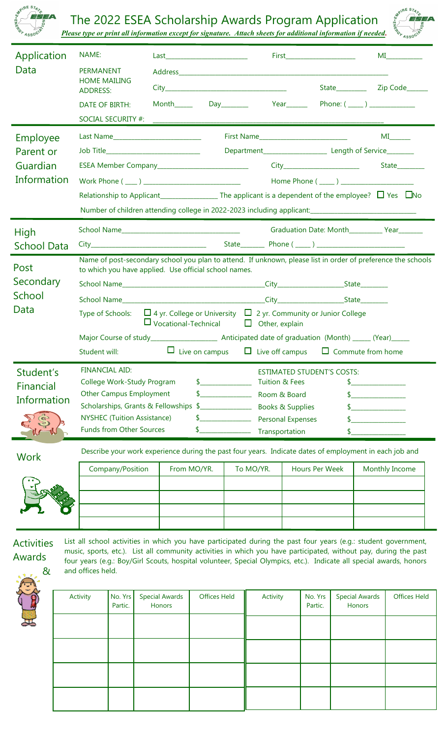

## The 2022 ESEA Scholarship Awards Program Application



*Please type or print all information except for signature. Attach sheets for additional information if needed.*

| Application        | NAME:                                                                                                           |                                                                                                                                                                                                                                         |  |                                           |                                                   |                                                 |                                                                                                        |          | First_________________________ |                                         |               |                                                  |  |  |  |
|--------------------|-----------------------------------------------------------------------------------------------------------------|-----------------------------------------------------------------------------------------------------------------------------------------------------------------------------------------------------------------------------------------|--|-------------------------------------------|---------------------------------------------------|-------------------------------------------------|--------------------------------------------------------------------------------------------------------|----------|--------------------------------|-----------------------------------------|---------------|--------------------------------------------------|--|--|--|
| Data               | <b>PERMANENT</b>                                                                                                | <b>HOME MAILING</b>                                                                                                                                                                                                                     |  |                                           |                                                   |                                                 |                                                                                                        |          |                                |                                         |               |                                                  |  |  |  |
|                    | <b>ADDRESS:</b>                                                                                                 |                                                                                                                                                                                                                                         |  |                                           |                                                   |                                                 |                                                                                                        |          |                                |                                         |               |                                                  |  |  |  |
|                    |                                                                                                                 | DATE OF BIRTH:                                                                                                                                                                                                                          |  | Month_____                                |                                                   |                                                 |                                                                                                        |          |                                |                                         |               |                                                  |  |  |  |
|                    |                                                                                                                 | SOCIAL SECURITY #:                                                                                                                                                                                                                      |  |                                           |                                                   |                                                 |                                                                                                        |          |                                |                                         |               |                                                  |  |  |  |
| Employee           |                                                                                                                 |                                                                                                                                                                                                                                         |  |                                           |                                                   |                                                 |                                                                                                        |          |                                |                                         |               |                                                  |  |  |  |
| Parent or          |                                                                                                                 |                                                                                                                                                                                                                                         |  | Job Title________________________________ |                                                   |                                                 | Department__________________________ Length of Service_________                                        |          |                                |                                         |               |                                                  |  |  |  |
| Guardian           |                                                                                                                 |                                                                                                                                                                                                                                         |  |                                           | ESEA Member Company______________________________ |                                                 |                                                                                                        |          |                                |                                         |               | State________                                    |  |  |  |
| Information        |                                                                                                                 |                                                                                                                                                                                                                                         |  |                                           |                                                   |                                                 |                                                                                                        |          |                                |                                         |               |                                                  |  |  |  |
|                    |                                                                                                                 |                                                                                                                                                                                                                                         |  |                                           |                                                   |                                                 |                                                                                                        |          |                                |                                         |               |                                                  |  |  |  |
|                    |                                                                                                                 |                                                                                                                                                                                                                                         |  |                                           |                                                   |                                                 | Number of children attending college in 2022-2023 including applicant: _____________________________   |          |                                |                                         |               |                                                  |  |  |  |
| <b>High</b>        |                                                                                                                 |                                                                                                                                                                                                                                         |  |                                           |                                                   |                                                 |                                                                                                        |          |                                |                                         |               | Graduation Date: Month_____________ Year________ |  |  |  |
| <b>School Data</b> |                                                                                                                 |                                                                                                                                                                                                                                         |  |                                           |                                                   |                                                 |                                                                                                        |          |                                |                                         |               |                                                  |  |  |  |
| Post<br>Secondary  |                                                                                                                 | Name of post-secondary school you plan to attend. If unknown, please list in order of preference the schools<br>to which you have applied. Use official school names.                                                                   |  |                                           |                                                   |                                                 |                                                                                                        |          |                                |                                         |               |                                                  |  |  |  |
|                    |                                                                                                                 |                                                                                                                                                                                                                                         |  |                                           |                                                   |                                                 |                                                                                                        |          |                                |                                         |               |                                                  |  |  |  |
| School             |                                                                                                                 |                                                                                                                                                                                                                                         |  |                                           |                                                   |                                                 |                                                                                                        |          |                                |                                         |               |                                                  |  |  |  |
| Data               |                                                                                                                 | $\Box$ 4 yr. College or University $\Box$ 2 yr. Community or Junior College<br>Type of Schools:                                                                                                                                         |  |                                           |                                                   |                                                 |                                                                                                        |          |                                |                                         |               |                                                  |  |  |  |
|                    |                                                                                                                 | $\Box$ Vocational-Technical $\Box$ Other, explain                                                                                                                                                                                       |  |                                           |                                                   |                                                 |                                                                                                        |          |                                |                                         |               |                                                  |  |  |  |
|                    |                                                                                                                 |                                                                                                                                                                                                                                         |  |                                           |                                                   |                                                 |                                                                                                        |          |                                |                                         |               |                                                  |  |  |  |
|                    | Student will:                                                                                                   |                                                                                                                                                                                                                                         |  |                                           |                                                   |                                                 | $\Box$ Live on campus $\Box$ Live off campus $\Box$ Commute from home                                  |          |                                |                                         |               |                                                  |  |  |  |
|                    |                                                                                                                 | Student's FINANCIAL AID:<br><b>ESTIMATED STUDENT'S COSTS:</b>                                                                                                                                                                           |  |                                           |                                                   |                                                 |                                                                                                        |          |                                |                                         |               |                                                  |  |  |  |
| Financial          |                                                                                                                 | College Work-Study Program<br><b>Other Campus Employment</b>                                                                                                                                                                            |  |                                           | $\sim$ 5<br>$\frac{1}{2}$                         |                                                 | <b>Tuition &amp; Fees</b><br>Room & Board                                                              |          |                                |                                         | $\frac{1}{2}$ |                                                  |  |  |  |
| Information        |                                                                                                                 |                                                                                                                                                                                                                                         |  |                                           | Scholarships, Grants & Fellowships \$             |                                                 | <b>Books &amp; Supplies</b>                                                                            |          |                                |                                         | $\frac{1}{2}$ |                                                  |  |  |  |
|                    |                                                                                                                 | <b>NYSHEC (Tuition Assistance)</b>                                                                                                                                                                                                      |  |                                           |                                                   | <u> 1990 - Johann Barnett, f</u>                | <b>Personal Expenses</b>                                                                               |          |                                |                                         |               |                                                  |  |  |  |
|                    |                                                                                                                 | <b>Funds from Other Sources</b>                                                                                                                                                                                                         |  |                                           |                                                   | <u> 1990 - Johann Barnett, fransk politiker</u> | Transportation                                                                                         |          |                                |                                         |               |                                                  |  |  |  |
|                    |                                                                                                                 |                                                                                                                                                                                                                                         |  |                                           |                                                   |                                                 | Describe your work experience during the past four years. Indicate dates of employment in each job and |          |                                |                                         |               |                                                  |  |  |  |
| <b>Work</b>        |                                                                                                                 | Company/Position<br>From MO/YR.                                                                                                                                                                                                         |  |                                           |                                                   | To MO/YR.                                       |                                                                                                        |          |                                | <b>Hours Per Week</b><br>Monthly Income |               |                                                  |  |  |  |
|                    |                                                                                                                 |                                                                                                                                                                                                                                         |  |                                           |                                                   |                                                 |                                                                                                        |          |                                |                                         |               |                                                  |  |  |  |
|                    |                                                                                                                 |                                                                                                                                                                                                                                         |  |                                           |                                                   |                                                 |                                                                                                        |          |                                |                                         |               |                                                  |  |  |  |
|                    |                                                                                                                 |                                                                                                                                                                                                                                         |  |                                           |                                                   |                                                 |                                                                                                        |          |                                |                                         |               |                                                  |  |  |  |
|                    |                                                                                                                 |                                                                                                                                                                                                                                         |  |                                           |                                                   |                                                 |                                                                                                        |          |                                |                                         |               |                                                  |  |  |  |
| <b>Activities</b>  | List all school activities in which you have participated during the past four years (e.g.: student government, |                                                                                                                                                                                                                                         |  |                                           |                                                   |                                                 |                                                                                                        |          |                                |                                         |               |                                                  |  |  |  |
| Awards             |                                                                                                                 | music, sports, etc.). List all community activities in which you have participated, without pay, during the past<br>four years (e.g.: Boy/Girl Scouts, hospital volunteer, Special Olympics, etc.). Indicate all special awards, honors |  |                                           |                                                   |                                                 |                                                                                                        |          |                                |                                         |               |                                                  |  |  |  |
| &                  |                                                                                                                 | and offices held.                                                                                                                                                                                                                       |  |                                           |                                                   |                                                 |                                                                                                        |          |                                |                                         |               |                                                  |  |  |  |
|                    |                                                                                                                 |                                                                                                                                                                                                                                         |  |                                           |                                                   |                                                 |                                                                                                        |          | No. Yrs                        |                                         |               |                                                  |  |  |  |
|                    | Activity                                                                                                        | No. Yrs<br>Partic.                                                                                                                                                                                                                      |  | <b>Special Awards</b><br>Honors           |                                                   | <b>Offices Held</b>                             |                                                                                                        | Activity |                                | <b>Special Awards</b><br>Honors         |               | <b>Offices Held</b>                              |  |  |  |
|                    |                                                                                                                 |                                                                                                                                                                                                                                         |  |                                           |                                                   |                                                 |                                                                                                        |          |                                |                                         |               |                                                  |  |  |  |
|                    |                                                                                                                 |                                                                                                                                                                                                                                         |  |                                           |                                                   |                                                 |                                                                                                        |          |                                |                                         |               |                                                  |  |  |  |
|                    |                                                                                                                 |                                                                                                                                                                                                                                         |  |                                           |                                                   |                                                 |                                                                                                        |          |                                |                                         |               |                                                  |  |  |  |
|                    |                                                                                                                 |                                                                                                                                                                                                                                         |  |                                           |                                                   |                                                 |                                                                                                        |          |                                |                                         |               |                                                  |  |  |  |